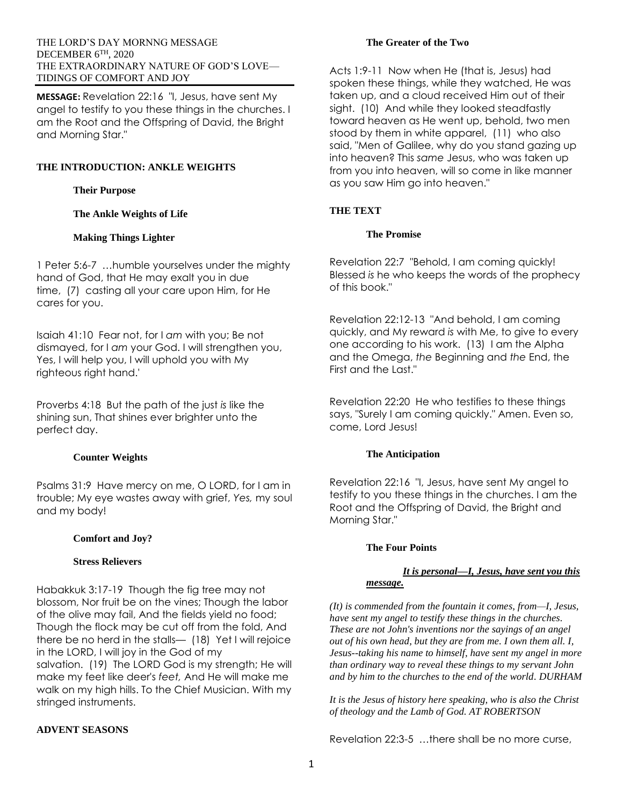#### THE LORD'S DAY MORNNG MESSAGE DECEMBER 6TH, 2020 THE EXTRAORDINARY NATURE OF GOD'S LOVE— TIDINGS OF COMFORT AND JOY

**MESSAGE:** Revelation 22:16 "I, Jesus, have sent My angel to testify to you these things in the churches. I am the Root and the Offspring of David, the Bright and Morning Star."

# **THE INTRODUCTION: ANKLE WEIGHTS**

**Their Purpose**

**The Ankle Weights of Life**

#### **Making Things Lighter**

1 Peter 5:6-7 …humble yourselves under the mighty hand of God, that He may exalt you in due time, (7) casting all your care upon Him, for He cares for you.

Isaiah 41:10 Fear not, for I *am* with you; Be not dismayed, for I *am* your God. I will strengthen you, Yes, I will help you, I will uphold you with My righteous right hand.'

Proverbs 4:18 But the path of the just *is* like the shining sun, That shines ever brighter unto the perfect day.

### **Counter Weights**

Psalms 31:9 Have mercy on me, O LORD, for I am in trouble; My eye wastes away with grief, *Yes,* my soul and my body!

### **Comfort and Joy?**

### **Stress Relievers**

Habakkuk 3:17-19 Though the fig tree may not blossom, Nor fruit be on the vines; Though the labor of the olive may fail, And the fields yield no food; Though the flock may be cut off from the fold, And there be no herd in the stalls— (18) Yet I will rejoice in the LORD, I will joy in the God of my salvation. (19) The LORD God is my strength; He will

make my feet like deer's *feet,* And He will make me walk on my high hills. To the Chief Musician. With my stringed instruments.

### **ADVENT SEASONS**

### **The Greater of the Two**

Acts 1:9-11 Now when He (that is, Jesus) had spoken these things, while they watched, He was taken up, and a cloud received Him out of their sight. (10) And while they looked steadfastly toward heaven as He went up, behold, two men stood by them in white apparel, (11) who also said, "Men of Galilee, why do you stand gazing up into heaven? This *same* Jesus, who was taken up from you into heaven, will so come in like manner as you saw Him go into heaven."

## **THE TEXT**

### **The Promise**

Revelation 22:7 "Behold, I am coming quickly! Blessed *is* he who keeps the words of the prophecy of this book."

Revelation 22:12-13 "And behold, I am coming quickly, and My reward *is* with Me, to give to every one according to his work. (13) I am the Alpha and the Omega, *the* Beginning and *the* End, the First and the Last."

Revelation 22:20 He who testifies to these things says, "Surely I am coming quickly." Amen. Even so, come, Lord Jesus!

### **The Anticipation**

Revelation 22:16 "I, Jesus, have sent My angel to testify to you these things in the churches. I am the Root and the Offspring of David, the Bright and Morning Star."

### **The Four Points**

### *It is personal—I, Jesus, have sent you this message.*

*(It) is commended from the fountain it comes, from—I, Jesus, have sent my angel to testify these things in the churches. These are not John's inventions nor the sayings of an angel out of his own head, but they are from me. I own them all. I, Jesus--taking his name to himself, have sent my angel in more than ordinary way to reveal these things to my servant John and by him to the churches to the end of the world. DURHAM*

*It is the Jesus of history here speaking, who is also the Christ of theology and the Lamb of God. AT ROBERTSON*

Revelation 22:3-5 …there shall be no more curse,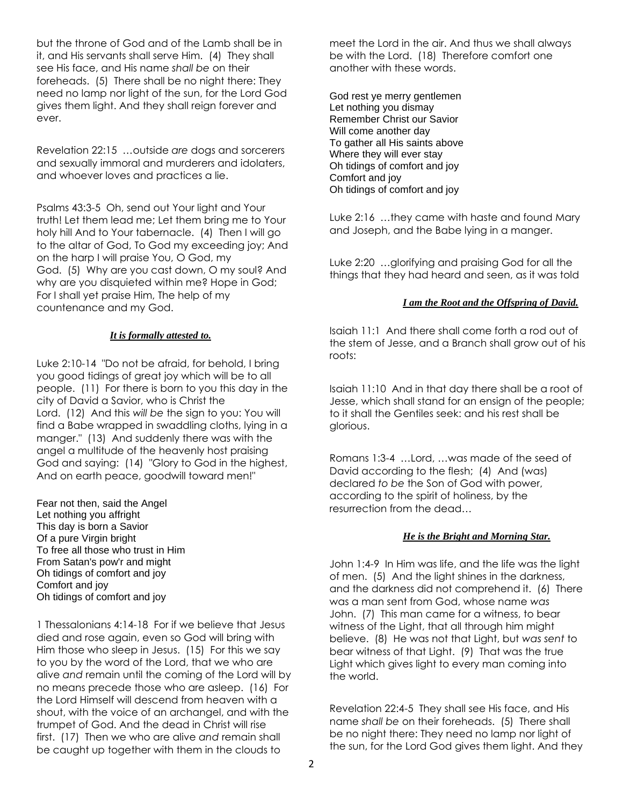but the throne of God and of the Lamb shall be in it, and His servants shall serve Him. (4) They shall see His face, and His name *shall be* on their foreheads. (5) There shall be no night there: They need no lamp nor light of the sun, for the Lord God gives them light. And they shall reign forever and ever.

Revelation 22:15 …outside *are* dogs and sorcerers and sexually immoral and murderers and idolaters, and whoever loves and practices a lie.

Psalms 43:3-5 Oh, send out Your light and Your truth! Let them lead me; Let them bring me to Your holy hill And to Your tabernacle. (4) Then I will go to the altar of God, To God my exceeding joy; And on the harp I will praise You, O God, my God. (5) Why are you cast down, O my soul? And why are you disquieted within me? Hope in God; For I shall yet praise Him, The help of my countenance and my God.

# *It is formally attested to.*

Luke 2:10-14 "Do not be afraid, for behold, I bring you good tidings of great joy which will be to all people. (11) For there is born to you this day in the city of David a Savior, who is Christ the Lord. (12) And this *will be* the sign to you: You will find a Babe wrapped in swaddling cloths, lying in a manger." (13) And suddenly there was with the angel a multitude of the heavenly host praising God and saying: (14) "Glory to God in the highest, And on earth peace, goodwill toward men!"

Fear not then, said the Angel Let nothing you affright This day is born a Savior Of a pure Virgin bright To free all those who trust in Him From Satan's pow'r and might Oh tidings of comfort and joy Comfort and joy Oh tidings of comfort and joy

1 Thessalonians 4:14-18 For if we believe that Jesus died and rose again, even so God will bring with Him those who sleep in Jesus. (15) For this we say to you by the word of the Lord, that we who are alive *and* remain until the coming of the Lord will by no means precede those who are asleep. (16) For the Lord Himself will descend from heaven with a shout, with the voice of an archangel, and with the trumpet of God. And the dead in Christ will rise first. (17) Then we who are alive *and* remain shall be caught up together with them in the clouds to

meet the Lord in the air. And thus we shall always be with the Lord. (18) Therefore comfort one another with these words.

God rest ye merry gentlemen Let nothing you dismay Remember Christ our Savior Will come another day To gather all His saints above Where they will ever stay Oh tidings of comfort and joy Comfort and joy Oh tidings of comfort and joy

Luke 2:16 …they came with haste and found Mary and Joseph, and the Babe lying in a manger.

Luke 2:20 …glorifying and praising God for all the things that they had heard and seen, as it was told

## *I am the Root and the Offspring of David.*

Isaiah 11:1 And there shall come forth a rod out of the stem of Jesse, and a Branch shall grow out of his roots:

Isaiah 11:10 And in that day there shall be a root of Jesse, which shall stand for an ensign of the people; to it shall the Gentiles seek: and his rest shall be glorious.

Romans 1:3-4 …Lord, …was made of the seed of David according to the flesh; (4) And (was) declared *to be* the Son of God with power, according to the spirit of holiness, by the resurrection from the dead…

### *He is the Bright and Morning Star.*

John 1:4-9 In Him was life, and the life was the light of men. (5) And the light shines in the darkness, and the darkness did not comprehend it. (6) There was a man sent from God, whose name *was* John. (7) This man came for a witness, to bear witness of the Light, that all through him might believe. (8) He was not that Light, but *was sent* to bear witness of that Light. (9) That was the true Light which gives light to every man coming into the world.

Revelation 22:4-5 They shall see His face, and His name *shall be* on their foreheads. (5) There shall be no night there: They need no lamp nor light of the sun, for the Lord God gives them light. And they